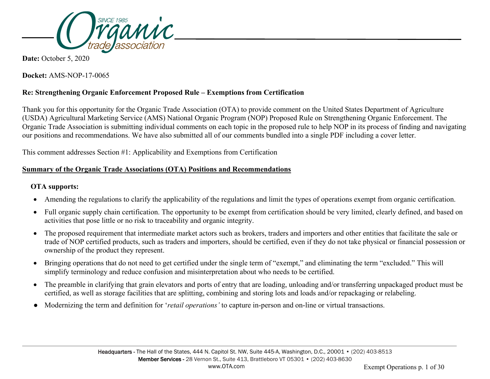

**Date:** October 5, 2020

**Docket:** AMS-NOP-17-0065

## **Re: Strengthening Organic Enforcement Proposed Rule – Exemptions from Certification**

Thank you for this opportunity for the Organic Trade Association (OTA) to provide comment on the United States Department of Agriculture (USDA) Agricultural Marketing Service (AMS) National Organic Program (NOP) Proposed Rule on Strengthening Organic Enforcement. The Organic Trade Association is submitting individual comments on each topic in the proposed rule to help NOP in its process of finding and navigating our positions and recommendations. We have also submitted all of our comments bundled into a single PDF including a cover letter.

This comment addresses Section #1: Applicability and Exemptions from Certification

## **Summary of the Organic Trade Associations (OTA) Positions and Recommendations**

## **OTA supports:**

- Amending the regulations to clarify the applicability of the regulations and limit the types of operations exempt from organic certification.
- Full organic supply chain certification. The opportunity to be exempt from certification should be very limited, clearly defined, and based on activities that pose little or no risk to traceability and organic integrity.
- The proposed requirement that intermediate market actors such as brokers, traders and importers and other entities that facilitate the sale or trade of NOP certified products, such as traders and importers, should be certified, even if they do not take physical or financial possession or ownership of the product they represent.
- Bringing operations that do not need to get certified under the single term of "exempt," and eliminating the term "excluded." This will simplify terminology and reduce confusion and misinterpretation about who needs to be certified.
- The preamble in clarifying that grain elevators and ports of entry that are loading, unloading and/or transferring unpackaged product must be certified, as well as storage facilities that are splitting, combining and storing lots and loads and/or repackaging or relabeling.
- Modernizing the term and definition for '*retail operations'* to capture in-person and on-line or virtual transactions.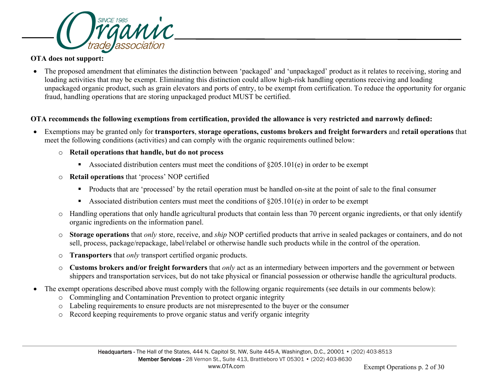

#### **OTA does not support:**

• The proposed amendment that eliminates the distinction between 'packaged' and 'unpackaged' product as it relates to receiving, storing and loading activities that may be exempt. Eliminating this distinction could allow high-risk handling operations receiving and loading unpackaged organic product, such as grain elevators and ports of entry, to be exempt from certification. To reduce the opportunity for organic fraud, handling operations that are storing unpackaged product MUST be certified.

#### **OTA recommends the following exemptions from certification, provided the allowance is very restricted and narrowly defined:**

- Exemptions may be granted only for **transporters**, **storage operations, customs brokers and freight forwarders** and **retail operations** that meet the following conditions (activities) and can comply with the organic requirements outlined below:
	- o **Retail operations that handle, but do not process**
		- Associated distribution centers must meet the conditions of  $\S205.101(e)$  in order to be exempt
	- o **Retail operations** that 'process' NOP certified
		- **Products that are 'processed' by the retail operation must be handled on-site at the point of sale to the final consumer**
		- Associated distribution centers must meet the conditions of  $\S205.101(e)$  in order to be exempt
	- o Handling operations that only handle agricultural products that contain less than 70 percent organic ingredients, or that only identify organic ingredients on the information panel.
	- o **Storage operations** that *only* store, receive, and *ship* NOP certified products that arrive in sealed packages or containers, and do not sell, process, package/repackage, label/relabel or otherwise handle such products while in the control of the operation.
	- o **Transporters** that *only* transport certified organic products.
	- o **Customs brokers and/or freight forwarders** that *only* act as an intermediary between importers and the government or between shippers and transportation services, but do not take physical or financial possession or otherwise handle the agricultural products.
- The exempt operations described above must comply with the following organic requirements (see details in our comments below):
	- o Commingling and Contamination Prevention to protect organic integrity
	- o Labeling requirements to ensure products are not misrepresented to the buyer or the consumer
	- o Record keeping requirements to prove organic status and verify organic integrity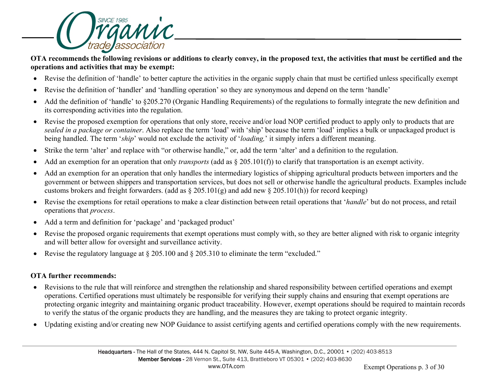

**OTA recommends the following revisions or additions to clearly convey, in the proposed text, the activities that must be certified and the operations and activities that may be exempt:**

- Revise the definition of 'handle' to better capture the activities in the organic supply chain that must be certified unless specifically exempt
- Revise the definition of 'handler' and 'handling operation' so they are synonymous and depend on the term 'handle'
- Add the definition of 'handle' to §205.270 (Organic Handling Requirements) of the regulations to formally integrate the new definition and its corresponding activities into the regulation.
- Revise the proposed exemption for operations that only store, receive and/or load NOP certified product to apply only to products that are *sealed in a package or container*. Also replace the term 'load' with 'ship' because the term 'load' implies a bulk or unpackaged product is being handled. The term '*ship*' would not exclude the activity of '*loading,*' it simply infers a different meaning.
- Strike the term 'alter' and replace with "or otherwise handle," or, add the term 'alter' and a definition to the regulation.
- Add an exemption for an operation that only *transports* (add as § 205.101(f)) to clarify that transportation is an exempt activity.
- Add an exemption for an operation that only handles the intermediary logistics of shipping agricultural products between importers and the government or between shippers and transportation services, but does not sell or otherwise handle the agricultural products. Examples include customs brokers and freight forwarders. (add as  $\S 205.101(g)$  and add new  $\S 205.101(h)$ ) for record keeping)
- Revise the exemptions for retail operations to make a clear distinction between retail operations that '*handle*' but do not process, and retail operations that *process*.
- Add a term and definition for 'package' and 'packaged product'
- Revise the proposed organic requirements that exempt operations must comply with, so they are better aligned with risk to organic integrity and will better allow for oversight and surveillance activity.
- Revise the regulatory language at § 205.100 and § 205.310 to eliminate the term "excluded."

## **OTA further recommends:**

- Revisions to the rule that will reinforce and strengthen the relationship and shared responsibility between certified operations and exempt operations. Certified operations must ultimately be responsible for verifying their supply chains and ensuring that exempt operations are protecting organic integrity and maintaining organic product traceability. However, exempt operations should be required to maintain records to verify the status of the organic products they are handling, and the measures they are taking to protect organic integrity.
- Updating existing and/or creating new NOP Guidance to assist certifying agents and certified operations comply with the new requirements.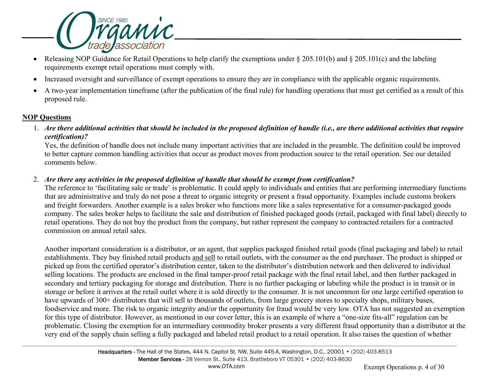

- Releasing NOP Guidance for Retail Operations to help clarify the exemptions under § 205.101(b) and § 205.101(c) and the labeling requirements exempt retail operations must comply with.
- Increased oversight and surveillance of exempt operations to ensure they are in compliance with the applicable organic requirements.
- A two-year implementation timeframe (after the publication of the final rule) for handling operations that must get certified as a result of this proposed rule.

#### **NOP Questions**

1. *Are there additional activities that should be included in the proposed definition of handle (i.e., are there additional activities that require certification)?*

Yes, the definition of handle does not include many important activities that are included in the preamble. The definition could be improved to better capture common handling activities that occur as product moves from production source to the retail operation. See our detailed comments below.

## 2. *Are there any activities in the proposed definition of handle that should be exempt from certification?*

The reference to 'facilitating sale or trade' is problematic. It could apply to individuals and entities that are performing intermediary functions that are administrative and truly do not pose a threat to organic integrity or present a fraud opportunity. Examples include customs brokers and freight forwarders. Another example is a sales broker who functions more like a sales representative for a consumer-packaged goods company. The sales broker helps to facilitate the sale and distribution of finished packaged goods (retail, packaged with final label) directly to retail operations. They do not buy the product from the company, but rather represent the company to contracted retailers for a contracted commission on annual retail sales.

Another important consideration is a distributor, or an agent, that supplies packaged finished retail goods (final packaging and label) to retail establishments. They buy finished retail products and sell to retail outlets, with the consumer as the end purchaser. The product is shipped or picked up from the certified operator's distribution center, taken to the distributor's distribution network and then delivered to individual selling locations. The products are enclosed in the final tamper-proof retail package with the final retail label, and then further packaged in secondary and tertiary packaging for storage and distribution. There is no further packaging or labeling while the product is in transit or in storage or before it arrives at the retail outlet where it is sold directly to the consumer. It is not uncommon for one large certified operation to have upwards of 300+ distributors that will sell to thousands of outlets, from large grocery stores to specialty shops, military bases, foodservice and more. The risk to organic integrity and/or the opportunity for fraud would be very low. OTA has not suggested an exemption for this type of distributor. However, as mentioned in our cover letter, this is an example of where a "one-size fits-all" regulation can be problematic. Closing the exemption for an intermediary commodity broker presents a very different fraud opportunity than a distributor at the very end of the supply chain selling a fully packaged and labeled retail product to a retail operation. It also raises the question of whether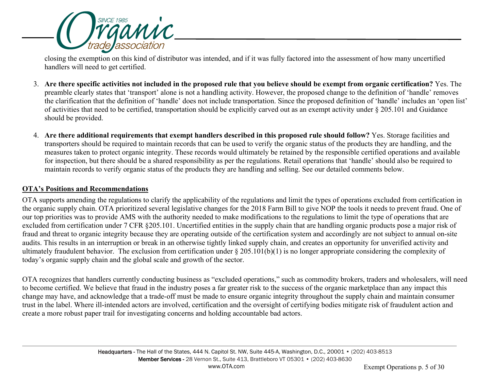

closing the exemption on this kind of distributor was intended, and if it was fully factored into the assessment of how many uncertified handlers will need to get certified.

- 3. **Are there specific activities not included in the proposed rule that you believe should be exempt from organic certification?** Yes. The preamble clearly states that 'transport' alone is not a handling activity. However, the proposed change to the definition of 'handle' removes the clarification that the definition of 'handle' does not include transportation. Since the proposed definition of 'handle' includes an 'open list' of activities that need to be certified, transportation should be explicitly carved out as an exempt activity under § 205.101 and Guidance should be provided.
- 4. **Are there additional requirements that exempt handlers described in this proposed rule should follow?** Yes. Storage facilities and transporters should be required to maintain records that can be used to verify the organic status of the products they are handling, and the measures taken to protect organic integrity. These records would ultimately be retained by the responsible certified operations and available for inspection, but there should be a shared responsibility as per the regulations. Retail operations that 'handle' should also be required to maintain records to verify organic status of the products they are handling and selling. See our detailed comments below.

#### **OTA's Positions and Recommendations**

OTA supports amending the regulations to clarify the applicability of the regulations and limit the types of operations excluded from certification in the organic supply chain. OTA prioritized several legislative changes for the 2018 Farm Bill to give NOP the tools it needs to prevent fraud. One of our top priorities was to provide AMS with the authority needed to make modifications to the regulations to limit the type of operations that are excluded from certification under 7 CFR §205.101. Uncertified entities in the supply chain that are handling organic products pose a major risk of fraud and threat to organic integrity because they are operating outside of the certification system and accordingly are not subject to annual on-site audits. This results in an interruption or break in an otherwise tightly linked supply chain, and creates an opportunity for unverified activity and ultimately fraudulent behavior. The exclusion from certification under § 205.101(b)(1) is no longer appropriate considering the complexity of today's organic supply chain and the global scale and growth of the sector.

OTA recognizes that handlers currently conducting business as "excluded operations," such as commodity brokers, traders and wholesalers, will need to become certified. We believe that fraud in the industry poses a far greater risk to the success of the organic marketplace than any impact this change may have, and acknowledge that a trade-off must be made to ensure organic integrity throughout the supply chain and maintain consumer trust in the label. Where ill-intended actors are involved, certification and the oversight of certifying bodies mitigate risk of fraudulent action and create a more robust paper trail for investigating concerns and holding accountable bad actors.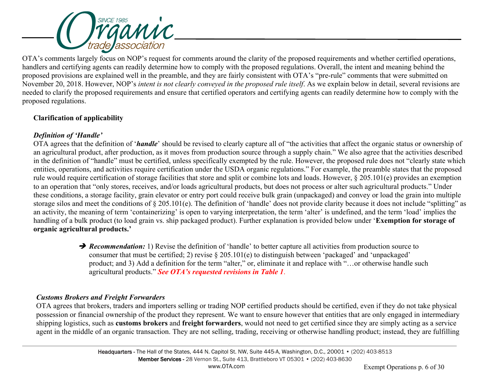

OTA's comments largely focus on NOP's request for comments around the clarity of the proposed requirements and whether certified operations, handlers and certifying agents can readily determine how to comply with the proposed regulations. Overall, the intent and meaning behind the proposed provisions are explained well in the preamble, and they are fairly consistent with OTA's "pre-rule" comments that were submitted on November 20, 2018. However, NOP's *intent is not clearly conveyed in the proposed rule itself*. As we explain below in detail, several revisions are needed to clarify the proposed requirements and ensure that certified operators and certifying agents can readily determine how to comply with the proposed regulations.

## **Clarification of applicability**

## *Definition of 'Handle'*

OTA agrees that the definition of '*handle*' should be revised to clearly capture all of "the activities that affect the organic status or ownership of an agricultural product, after production, as it moves from production source through a supply chain." We also agree that the activities described in the definition of "handle" must be certified, unless specifically exempted by the rule. However, the proposed rule does not "clearly state which entities, operations, and activities require certification under the USDA organic regulations." For example, the preamble states that the proposed rule would require certification of storage facilities that store and split or combine lots and loads. However, § 205.101(e) provides an exemption to an operation that "only stores, receives, and/or loads agricultural products, but does not process or alter such agricultural products." Under these conditions, a storage facility, grain elevator or entry port could receive bulk grain (unpackaged) and convey or load the grain into multiple storage silos and meet the conditions of § 205.101(e). The definition of 'handle' does not provide clarity because it does not include "splitting" as an activity, the meaning of term 'containerizing' is open to varying interpretation, the term 'alter' is undefined, and the term 'load' implies the handling of a bulk product (to load grain vs. ship packaged product). Further explanation is provided below under '**Exemption for storage of organic agricultural products.'** 

> **→ Recommendation:** 1) Revise the definition of 'handle' to better capture all activities from production source to consumer that must be certified; 2) revise § 205.101(e) to distinguish between 'packaged' and 'unpackaged' product; and 3) Add a definition for the term "alter," or, eliminate it and replace with "…or otherwise handle such agricultural products." *See OTA's requested revisions in Table 1*.

# *Customs Brokers and Freight Forwarders*

OTA agrees that brokers, traders and importers selling or trading NOP certified products should be certified, even if they do not take physical possession or financial ownership of the product they represent. We want to ensure however that entities that are only engaged in intermediary shipping logistics, such as **customs brokers** and **freight forwarders**, would not need to get certified since they are simply acting as a service agent in the middle of an organic transaction. They are not selling, trading, receiving or otherwise handling product; instead, they are fulfilling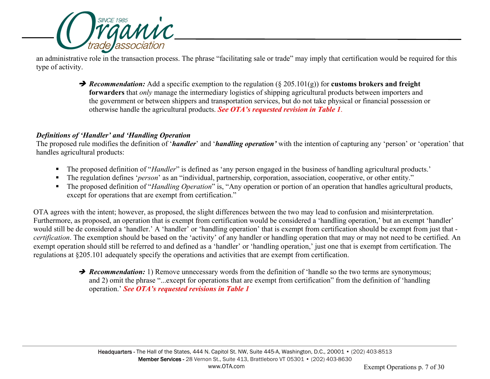

an administrative role in the transaction process. The phrase "facilitating sale or trade" may imply that certification would be required for this type of activity.

> → *Recommendation:* Add a specific exemption to the regulation (§ 205.101(g)) for **customs brokers and freight forwarders** that *only* manage the intermediary logistics of shipping agricultural products between importers and the government or between shippers and transportation services, but do not take physical or financial possession or otherwise handle the agricultural products. *See OTA's requested revision in Table 1*.

## *Definitions of 'Handler' and 'Handling Operation*

The proposed rule modifies the definition of '*handler*' and '*handling operation'* with the intention of capturing any 'person' or 'operation' that handles agricultural products:

- The proposed definition of "*Handler*" is defined as 'any person engaged in the business of handling agricultural products.'
- The regulation defines '*person*' as an "individual, partnership, corporation, association, cooperative, or other entity."
- The proposed definition of "*Handling Operation*" is, "Any operation or portion of an operation that handles agricultural products, except for operations that are exempt from certification."

OTA agrees with the intent; however, as proposed, the slight differences between the two may lead to confusion and misinterpretation. Furthermore, as proposed, an operation that is exempt from certification would be considered a 'handling operation,' but an exempt 'handler' would still be de considered a 'handler.' A 'handler' or 'handling operation' that is exempt from certification should be exempt from just that *certification*. The exemption should be based on the 'activity' of any handler or handling operation that may or may not need to be certified. An exempt operation should still be referred to and defined as a 'handler' or 'handling operation,' just one that is exempt from certification. The regulations at §205.101 adequately specify the operations and activities that are exempt from certification.

> **→ Recommendation:** 1) Remove unnecessary words from the definition of 'handle so the two terms are synonymous; and 2) omit the phrase "...except for operations that are exempt from certification" from the definition of 'handling operation.' *See OTA's requested revisions in Table 1*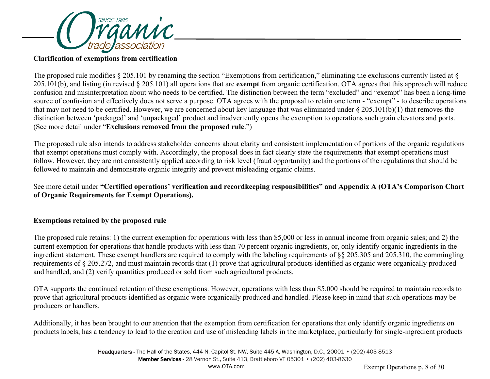

#### **Clarification of exemptions from certification**

The proposed rule modifies § 205.101 by renaming the section "Exemptions from certification," eliminating the exclusions currently listed at § 205.101(b), and listing (in revised § 205.101) all operations that are **exempt** from organic certification. OTA agrees that this approach will reduce confusion and misinterpretation about who needs to be certified. The distinction between the term "excluded" and "exempt" has been a long-time source of confusion and effectively does not serve a purpose. OTA agrees with the proposal to retain one term - "exempt" - to describe operations that may not need to be certified. However, we are concerned about key language that was eliminated under § 205.101(b)(1) that removes the distinction between 'packaged' and 'unpackaged' product and inadvertently opens the exemption to operations such grain elevators and ports. (See more detail under "**Exclusions removed from the proposed rule**.")

The proposed rule also intends to address stakeholder concerns about clarity and consistent implementation of portions of the organic regulations that exempt operations must comply with. Accordingly, the proposal does in fact clearly state the requirements that exempt operations must follow. However, they are not consistently applied according to risk level (fraud opportunity) and the portions of the regulations that should be followed to maintain and demonstrate organic integrity and prevent misleading organic claims.

See more detail under **"Certified operations' verification and recordkeeping responsibilities" and Appendix A (OTA's Comparison Chart of Organic Requirements for Exempt Operations).**

#### **Exemptions retained by the proposed rule**

The proposed rule retains: 1) the current exemption for operations with less than \$5,000 or less in annual income from organic sales; and 2) the current exemption for operations that handle products with less than 70 percent organic ingredients, or, only identify organic ingredients in the ingredient statement. These exempt handlers are required to comply with the labeling requirements of §§ 205.305 and 205.310, the commingling requirements of § 205.272, and must maintain records that (1) prove that agricultural products identified as organic were organically produced and handled, and (2) verify quantities produced or sold from such agricultural products.

OTA supports the continued retention of these exemptions. However, operations with less than \$5,000 should be required to maintain records to prove that agricultural products identified as organic were organically produced and handled. Please keep in mind that such operations may be producers or handlers.

Additionally, it has been brought to our attention that the exemption from certification for operations that only identify organic ingredients on products labels, has a tendency to lead to the creation and use of misleading labels in the marketplace, particularly for single-ingredient products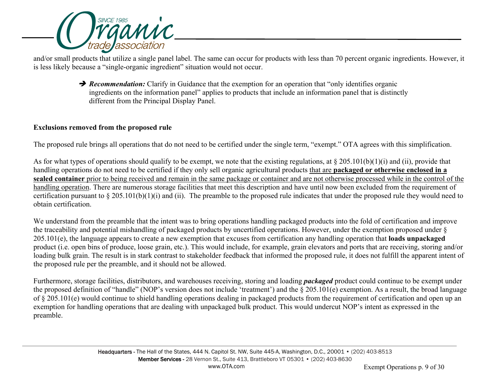

and/or small products that utilize a single panel label. The same can occur for products with less than 70 percent organic ingredients. However, it is less likely because a "single-organic ingredient" situation would not occur.

> **P** Recommendation: Clarify in Guidance that the exemption for an operation that "only identifies organic ingredients on the information panel" applies to products that include an information panel that is distinctly different from the Principal Display Panel.

## **Exclusions removed from the proposed rule**

The proposed rule brings all operations that do not need to be certified under the single term, "exempt." OTA agrees with this simplification.

As for what types of operations should qualify to be exempt, we note that the existing regulations, at  $\S 205.101(b)(1)(i)$  and (ii), provide that handling operations do not need to be certified if they only sell organic agricultural products that are **packaged or otherwise enclosed in a sealed container** prior to being received and remain in the same package or container and are not otherwise processed while in the control of the handling operation. There are numerous storage facilities that meet this description and have until now been excluded from the requirement of certification pursuant to  $\S 205.101(b)(1)(i)$  and (ii). The preamble to the proposed rule indicates that under the proposed rule they would need to obtain certification.

We understand from the preamble that the intent was to bring operations handling packaged products into the fold of certification and improve the traceability and potential mishandling of packaged products by uncertified operations. However, under the exemption proposed under § 205.101(e), the language appears to create a new exemption that excuses from certification any handling operation that **loads unpackaged** product (i.e. open bins of produce, loose grain, etc.). This would include, for example, grain elevators and ports that are receiving, storing and/or loading bulk grain. The result is in stark contrast to stakeholder feedback that informed the proposed rule, it does not fulfill the apparent intent of the proposed rule per the preamble, and it should not be allowed.

Furthermore, storage facilities, distributors, and warehouses receiving, storing and loading *packaged* product could continue to be exempt under the proposed definition of "handle" (NOP's version does not include 'treatment') and the § 205.101(e) exemption. As a result, the broad language of § 205.101(e) would continue to shield handling operations dealing in packaged products from the requirement of certification and open up an exemption for handling operations that are dealing with unpackaged bulk product. This would undercut NOP's intent as expressed in the preamble.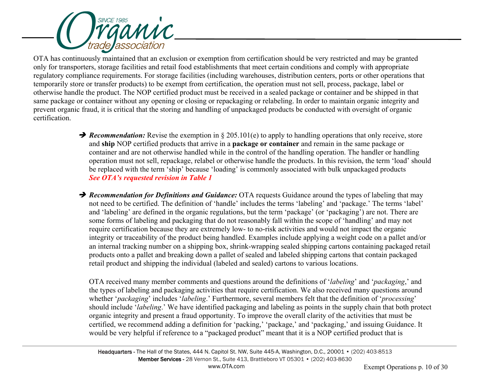

OTA has continuously maintained that an exclusion or exemption from certification should be very restricted and may be granted only for transporters, storage facilities and retail food establishments that meet certain conditions and comply with appropriate regulatory compliance requirements. For storage facilities (including warehouses, distribution centers, ports or other operations that temporarily store or transfer products) to be exempt from certification, the operation must not sell, process, package, label or otherwise handle the product. The NOP certified product must be received in a sealed package or container and be shipped in that same package or container without any opening or closing or repackaging or relabeling. In order to maintain organic integrity and prevent organic fraud, it is critical that the storing and handling of unpackaged products be conducted with oversight of organic certification.

- **→ Recommendation:** Revise the exemption in § 205.101(e) to apply to handling operations that only receive, store and **ship** NOP certified products that arrive in a **package or container** and remain in the same package or container and are not otherwise handled while in the control of the handling operation. The handler or handling operation must not sell, repackage, relabel or otherwise handle the products. In this revision, the term 'load' should be replaced with the term 'ship' because 'loading' is commonly associated with bulk unpackaged products *See OTA's requested revision in Table 1*
- **→ Recommendation for Definitions and Guidance:** OTA requests Guidance around the types of labeling that may not need to be certified. The definition of 'handle' includes the terms 'labeling' and 'package.' The terms 'label' and 'labeling' are defined in the organic regulations, but the term 'package' (or 'packaging') are not. There are some forms of labeling and packaging that do not reasonably fall within the scope of 'handling' and may not require certification because they are extremely low- to no-risk activities and would not impact the organic integrity or traceability of the product being handled. Examples include applying a weight code on a pallet and/or an internal tracking number on a shipping box, shrink-wrapping sealed shipping cartons containing packaged retail products onto a pallet and breaking down a pallet of sealed and labeled shipping cartons that contain packaged retail product and shipping the individual (labeled and sealed) cartons to various locations.

OTA received many member comments and questions around the definitions of '*labeling*' and '*packaging*,' and the types of labeling and packaging activities that require certification. We also received many questions around whether '*packaging*' includes '*labeling*.' Furthermore, several members felt that the definition of '*processing*' should include '*labeling*.' We have identified packaging and labeling as points in the supply chain that both protect organic integrity and present a fraud opportunity. To improve the overall clarity of the activities that must be certified, we recommend adding a definition for 'packing,' 'package,' and 'packaging,' and issuing Guidance. It would be very helpful if reference to a "packaged product" meant that it is a NOP certified product that is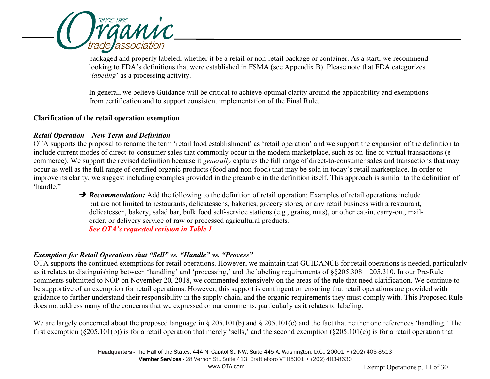

packaged and properly labeled, whether it be a retail or non-retail package or container. As a start, we recommend looking to FDA's definitions that were established in FSMA (see Appendix B). Please note that FDA categorizes '*labeling*' as a processing activity.

In general, we believe Guidance will be critical to achieve optimal clarity around the applicability and exemptions from certification and to support consistent implementation of the Final Rule.

#### **Clarification of the retail operation exemption**

## *Retail Operation – New Term and Definition*

OTA supports the proposal to rename the term 'retail food establishment' as 'retail operation' and we support the expansion of the definition to include current modes of direct-to-consumer sales that commonly occur in the modern marketplace, such as on-line or virtual transactions (ecommerce). We support the revised definition because it *generally* captures the full range of direct-to-consumer sales and transactions that may occur as well as the full range of certified organic products (food and non-food) that may be sold in today's retail marketplace. In order to improve its clarity, we suggest including examples provided in the preamble in the definition itself. This approach is similar to the definition of 'handle."

**→ Recommendation:** Add the following to the definition of retail operation: Examples of retail operations include but are not limited to restaurants, delicatessens, bakeries, grocery stores, or any retail business with a restaurant, delicatessen, bakery, salad bar, bulk food self-service stations (e.g., grains, nuts), or other eat-in, carry-out, mailorder, or delivery service of raw or processed agricultural products. *See OTA's requested revision in Table 1*.

## *Exemption for Retail Operations that "Sell" vs. "Handle" vs. "Process"*

OTA supports the continued exemptions for retail operations. However, we maintain that GUIDANCE for retail operations is needed, particularly as it relates to distinguishing between 'handling' and 'processing,' and the labeling requirements of §§205.308 – 205.310. In our Pre-Rule comments submitted to NOP on November 20, 2018, we commented extensively on the areas of the rule that need clarification. We continue to be supportive of an exemption for retail operations. However, this support is contingent on ensuring that retail operations are provided with guidance to further understand their responsibility in the supply chain, and the organic requirements they must comply with. This Proposed Rule does not address many of the concerns that we expressed or our comments, particularly as it relates to labeling.

We are largely concerned about the proposed language in § 205.101(b) and § 205.101(c) and the fact that neither one references 'handling.' The first exemption (§205.101(b)) is for a retail operation that merely 'sells,' and the second exemption (§205.101(c)) is for a retail operation that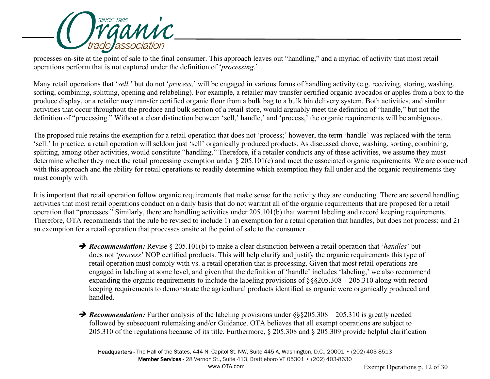

processes on-site at the point of sale to the final consumer. This approach leaves out "handling," and a myriad of activity that most retail operations perform that is not captured under the definition of '*processing*.'

Many retail operations that '*sell,*' but do not '*process*,' will be engaged in various forms of handling activity (e.g. receiving, storing, washing, sorting, combining, splitting, opening and relabeling). For example, a retailer may transfer certified organic avocados or apples from a box to the produce display, or a retailer may transfer certified organic flour from a bulk bag to a bulk bin delivery system. Both activities, and similar activities that occur throughout the produce and bulk section of a retail store, would arguably meet the definition of "handle," but not the definition of "processing." Without a clear distinction between 'sell,' handle,' and 'process,' the organic requirements will be ambiguous.

The proposed rule retains the exemption for a retail operation that does not 'process;' however, the term 'handle' was replaced with the term 'sell.' In practice, a retail operation will seldom just 'sell' organically produced products. As discussed above, washing, sorting, combining, splitting, among other activities, would constitute "handling." Therefore, if a retailer conducts any of these activities, we assume they must determine whether they meet the retail processing exemption under § 205.101(c) and meet the associated organic requirements. We are concerned with this approach and the ability for retail operations to readily determine which exemption they fall under and the organic requirements they must comply with.

It is important that retail operation follow organic requirements that make sense for the activity they are conducting. There are several handling activities that most retail operations conduct on a daily basis that do not warrant all of the organic requirements that are proposed for a retail operation that "processes." Similarly, there are handling activities under 205.101(b) that warrant labeling and record keeping requirements. Therefore, OTA recommends that the rule be revised to include 1) an exemption for a retail operation that handles, but does not process; and 2) an exemption for a retail operation that processes onsite at the point of sale to the consumer.

- *Recommendation:* Revise § 205.101(b) to make a clear distinction between a retail operation that '*handles*' but does not '*process*' NOP certified products. This will help clarify and justify the organic requirements this type of retail operation must comply with vs. a retail operation that is processing. Given that most retail operations are engaged in labeling at some level, and given that the definition of 'handle' includes 'labeling,' we also recommend expanding the organic requirements to include the labeling provisions of §§§205.308 – 205.310 along with record keeping requirements to demonstrate the agricultural products identified as organic were organically produced and handled.
- **→ Recommendation:** Further analysis of the labeling provisions under §§§205.308 205.310 is greatly needed followed by subsequent rulemaking and/or Guidance. OTA believes that all exempt operations are subject to 205.310 of the regulations because of its title. Furthermore, § 205.308 and § 205.309 provide helpful clarification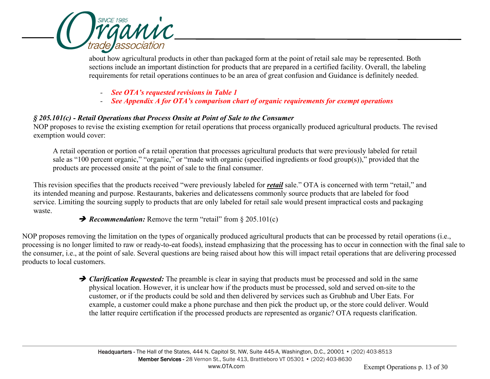

about how agricultural products in other than packaged form at the point of retail sale may be represented. Both sections include an important distinction for products that are prepared in a certified facility. Overall, the labeling requirements for retail operations continues to be an area of great confusion and Guidance is definitely needed.

- *- See OTA's requested revisions in Table 1*
- *- See Appendix A for OTA's comparison chart of organic requirements for exempt operations*

## *§ 205.101(c) - Retail Operations that Process Onsite at Point of Sale to the Consumer*

NOP proposes to revise the existing exemption for retail operations that process organically produced agricultural products. The revised exemption would cover:

A retail operation or portion of a retail operation that processes agricultural products that were previously labeled for retail sale as "100 percent organic," "organic," or "made with organic (specified ingredients or food group(s))," provided that the products are processed onsite at the point of sale to the final consumer.

This revision specifies that the products received "were previously labeled for *retail* sale." OTA is concerned with term "retail," and its intended meaning and purpose. Restaurants, bakeries and delicatessens commonly source products that are labeled for food service. Limiting the sourcing supply to products that are only labeled for retail sale would present impractical costs and packaging waste.

**→ Recommendation:** Remove the term "retail" from § 205.101(c)

NOP proposes removing the limitation on the types of organically produced agricultural products that can be processed by retail operations (i.e., processing is no longer limited to raw or ready-to-eat foods), instead emphasizing that the processing has to occur in connection with the final sale to the consumer, i.e., at the point of sale. Several questions are being raised about how this will impact retail operations that are delivering processed products to local customers.

> **→ Clarification Requested:** The preamble is clear in saying that products must be processed and sold in the same physical location. However, it is unclear how if the products must be processed, sold and served on-site to the customer, or if the products could be sold and then delivered by services such as Grubhub and Uber Eats. For example, a customer could make a phone purchase and then pick the product up, or the store could deliver. Would the latter require certification if the processed products are represented as organic? OTA requests clarification.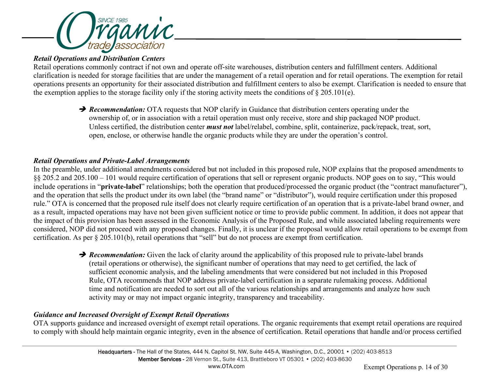

## *Retail Operations and Distribution Centers*

Retail operations commonly contract if not own and operate off-site warehouses, distribution centers and fulfillment centers. Additional clarification is needed for storage facilities that are under the management of a retail operation and for retail operations. The exemption for retail operations presents an opportunity for their associated distribution and fulfillment centers to also be exempt. Clarification is needed to ensure that the exemption applies to the storage facility only if the storing activity meets the conditions of  $\S 205.101(e)$ .

> **P** Recommendation: OTA requests that NOP clarify in Guidance that distribution centers operating under the ownership of, or in association with a retail operation must only receive, store and ship packaged NOP product. Unless certified, the distribution center *must not* label/relabel, combine, split, containerize, pack/repack, treat, sort, open, enclose, or otherwise handle the organic products while they are under the operation's control.

## *Retail Operations and Private-Label Arrangements*

In the preamble, under additional amendments considered but not included in this proposed rule, NOP explains that the proposed amendments to §§ 205.2 and 205.100 – 101 would require certification of operations that sell or represent organic products. NOP goes on to say, "This would include operations in "**private-label**" relationships; both the operation that produced/processed the organic product (the "contract manufacturer"), and the operation that sells the product under its own label (the "brand name" or "distributor"), would require certification under this proposed rule." OTA is concerned that the proposed rule itself does not clearly require certification of an operation that is a private-label brand owner, and as a result, impacted operations may have not been given sufficient notice or time to provide public comment. In addition, it does not appear that the impact of this provision has been assessed in the Economic Analysis of the Proposed Rule, and while associated labeling requirements were considered, NOP did not proceed with any proposed changes. Finally, it is unclear if the proposal would allow retail operations to be exempt from certification. As per § 205.101(b), retail operations that "sell" but do not process are exempt from certification.

> *Recommendation:* Given the lack of clarity around the applicability of this proposed rule to private-label brands (retail operations or otherwise), the significant number of operations that may need to get certified, the lack of sufficient economic analysis, and the labeling amendments that were considered but not included in this Proposed Rule, OTA recommends that NOP address private-label certification in a separate rulemaking process. Additional time and notification are needed to sort out all of the various relationships and arrangements and analyze how such activity may or may not impact organic integrity, transparency and traceability.

## *Guidance and Increased Oversight of Exempt Retail Operations*

OTA supports guidance and increased oversight of exempt retail operations. The organic requirements that exempt retail operations are required to comply with should help maintain organic integrity, even in the absence of certification. Retail operations that handle and/or process certified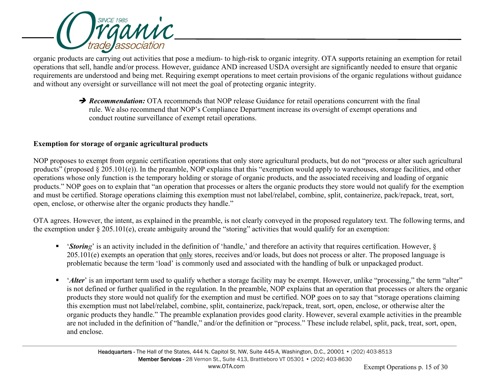

organic products are carrying out activities that pose a medium- to high-risk to organic integrity. OTA supports retaining an exemption for retail operations that sell, handle and/or process. However, guidance AND increased USDA oversight are significantly needed to ensure that organic requirements are understood and being met. Requiring exempt operations to meet certain provisions of the organic regulations without guidance and without any oversight or surveillance will not meet the goal of protecting organic integrity.

> *Recommendation:* OTA recommends that NOP release Guidance for retail operations concurrent with the final rule. We also recommend that NOP's Compliance Department increase its oversight of exempt operations and conduct routine surveillance of exempt retail operations.

## **Exemption for storage of organic agricultural products**

NOP proposes to exempt from organic certification operations that only store agricultural products, but do not "process or alter such agricultural products" (proposed § 205.101(e)). In the preamble, NOP explains that this "exemption would apply to warehouses, storage facilities, and other operations whose only function is the temporary holding or storage of organic products, and the associated receiving and loading of organic products." NOP goes on to explain that "an operation that processes or alters the organic products they store would not qualify for the exemption and must be certified. Storage operations claiming this exemption must not label/relabel, combine, split, containerize, pack/repack, treat, sort, open, enclose, or otherwise alter the organic products they handle."

OTA agrees. However, the intent, as explained in the preamble, is not clearly conveyed in the proposed regulatory text. The following terms, and the exemption under  $\S 205.101(e)$ , create ambiguity around the "storing" activities that would qualify for an exemption:

- *'Storing'* is an activity included in the definition of 'handle,' and therefore an activity that requires certification. However, § 205.101(e) exempts an operation that only stores, receives and/or loads, but does not process or alter. The proposed language is problematic because the term 'load' is commonly used and associated with the handling of bulk or unpackaged product.
- *'Alter'* is an important term used to qualify whether a storage facility may be exempt. However, unlike "processing," the term "alter" is not defined or further qualified in the regulation. In the preamble, NOP explains that an operation that processes or alters the organic products they store would not qualify for the exemption and must be certified. NOP goes on to say that "storage operations claiming this exemption must not label/relabel, combine, split, containerize, pack/repack, treat, sort, open, enclose, or otherwise alter the organic products they handle." The preamble explanation provides good clarity. However, several example activities in the preamble are not included in the definition of "handle," and/or the definition or "process." These include relabel, split, pack, treat, sort, open, and enclose.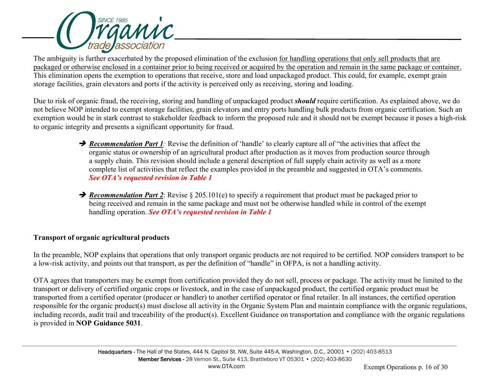

The ambiguity is further exacerbated by the proposed elimination of the exclusion for handling operations that only sell products that are packaged or otherwise enclosed in a container prior to being received or acquired by the operation and remain in the same package or container. This elimination opens the exemption to operations that receive, store and load unpackaged product. This could, for example, exempt grain storage facilities, grain elevators and ports if the activity is perceived only as receiving, storing and loading.

Due to risk of organic fraud, the receiving, storing and handling of unpackaged product *should* require certification. As explained above, we do not believe NOP intended to exempt storage facilities, grain elevators and entry ports handling bulk products from organic certification. Such an exemption would be in stark contrast to stakeholder feedback to inform the proposed rule and it should not be exempt because it poses a high-risk to organic integrity and presents a significant opportunity for fraud.

- *Recommendation Part 1:* Revise the definition of 'handle' to clearly capture all of "the activities that affect the organic status or ownership of an agricultural product after production as it moves from production source through a supply chain. This revision should include a general description of full supply chain activity as well as a more complete list of activities that reflect the examples provided in the preamble and suggested in OTA's comments. *See OTA's requested revision in Table 1*
- **→ Recommendation Part 2**: Revise § 205.101(e) to specify a requirement that product must be packaged prior to being received and remain in the same package and must not be otherwise handled while in control of the exempt handling operation. *See OTA's requested revision in Table 1*

## **Transport of organic agricultural products**

In the preamble, NOP explains that operations that only transport organic products are not required to be certified. NOP considers transport to be a low-risk activity, and points out that transport, as per the definition of "handle" in OFPA, is not a handling activity.

OTA agrees that transporters may be exempt from certification provided they do not sell, process or package. The activity must be limited to the transport or delivery of certified organic crops or livestock, and in the case of unpackaged product, the certified organic product must be transported from a certified operator (producer or handler) to another certified operator or final retailer. In all instances, the certified operation responsible for the organic product(s) must disclose all activity in the Organic System Plan and maintain compliance with the organic regulations, including records, audit trail and traceability of the product(s). Excellent Guidance on transportation and compliance with the organic regulations is provided in **NOP Guidance 5031**.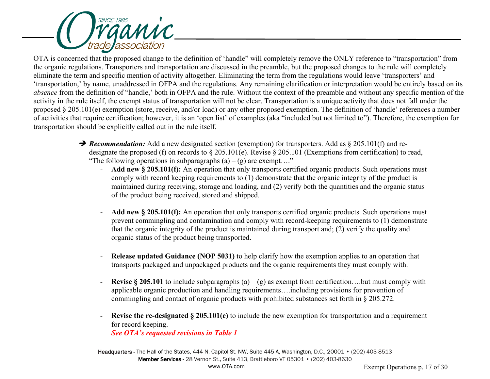

OTA is concerned that the proposed change to the definition of 'handle" will completely remove the ONLY reference to "transportation" from the organic regulations. Transporters and transportation are discussed in the preamble, but the proposed changes to the rule will completely eliminate the term and specific mention of activity altogether. Eliminating the term from the regulations would leave 'transporters' and 'transportation,' by name, unaddressed in OFPA and the regulations. Any remaining clarification or interpretation would be entirely based on its *absence* from the definition of "handle,' both in OFPA and the rule. Without the context of the preamble and without any specific mention of the activity in the rule itself, the exempt status of transportation will not be clear. Transportation is a unique activity that does not fall under the proposed § 205.101(e) exemption (store, receive, and/or load) or any other proposed exemption. The definition of 'handle' references a number of activities that require certification; however, it is an 'open list' of examples (aka "included but not limited to"). Therefore, the exemption for transportation should be explicitly called out in the rule itself.

- **→ Recommendation:** Add a new designated section (exemption) for transporters. Add as § 205.101(f) and redesignate the proposed (f) on records to § 205.101(e). Revise § 205.101 (Exemptions from certification) to read, "The following operations in subparagraphs  $(a) - (g)$  are exempt...."
	- *-* **Add new § 205.101(f):** An operation that only transports certified organic products. Such operations must comply with record keeping requirements to (1) demonstrate that the organic integrity of the product is maintained during receiving, storage and loading, and (2) verify both the quantities and the organic status of the product being received, stored and shipped.
	- *-* **Add new § 205.101(f):** An operation that only transports certified organic products. Such operations must prevent commingling and contamination and comply with record-keeping requirements to (1) demonstrate that the organic integrity of the product is maintained during transport and; (2) verify the quality and organic status of the product being transported.
	- *-* **Release updated Guidance (NOP 5031)** to help clarify how the exemption applies to an operation that transports packaged and unpackaged products and the organic requirements they must comply with.
	- **Revise § 205.101** to include subparagraphs  $(a) (g)$  as exempt from certification...but must comply with applicable organic production and handling requirements….including provisions for prevention of commingling and contact of organic products with prohibited substances set forth in § 205.272.
	- *-* **Revise the re-designated § 205.101(e)** to include the new exemption for transportation and a requirement for record keeping.

*See OTA's requested revisions in Table 1*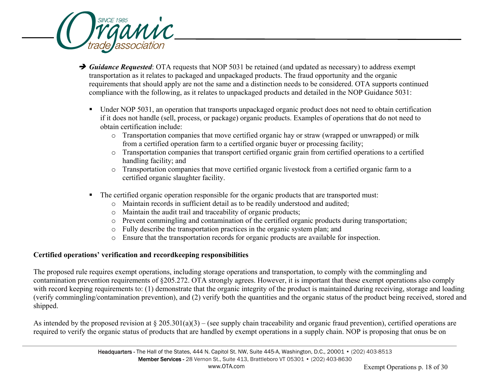

- **→** *Guidance Requested*: OTA requests that NOP 5031 be retained (and updated as necessary) to address exempt transportation as it relates to packaged and unpackaged products. The fraud opportunity and the organic requirements that should apply are not the same and a distinction needs to be considered. OTA supports continued compliance with the following, as it relates to unpackaged products and detailed in the NOP Guidance 5031:
	- Under NOP 5031, an operation that transports unpackaged organic product does not need to obtain certification if it does not handle (sell, process, or package) organic products. Examples of operations that do not need to obtain certification include:
		- o Transportation companies that move certified organic hay or straw (wrapped or unwrapped) or milk from a certified operation farm to a certified organic buyer or processing facility;
		- o Transportation companies that transport certified organic grain from certified operations to a certified handling facility; and
		- o Transportation companies that move certified organic livestock from a certified organic farm to a certified organic slaughter facility.
	- The certified organic operation responsible for the organic products that are transported must:
		- o Maintain records in sufficient detail as to be readily understood and audited;
		- o Maintain the audit trail and traceability of organic products;
		- o Prevent commingling and contamination of the certified organic products during transportation;
		- o Fully describe the transportation practices in the organic system plan; and
		- o Ensure that the transportation records for organic products are available for inspection.

# **Certified operations' verification and recordkeeping responsibilities**

The proposed rule requires exempt operations, including storage operations and transportation, to comply with the commingling and contamination prevention requirements of §205.272. OTA strongly agrees. However, it is important that these exempt operations also comply with record keeping requirements to: (1) demonstrate that the organic integrity of the product is maintained during receiving, storage and loading (verify commingling/contamination prevention), and (2) verify both the quantities and the organic status of the product being received, stored and shipped.

As intended by the proposed revision at  $\S 205.301(a)(3) -$  (see supply chain traceability and organic fraud prevention), certified operations are required to verify the organic status of products that are handled by exempt operations in a supply chain. NOP is proposing that onus be on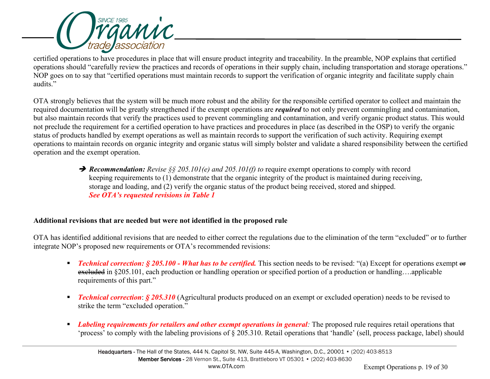

certified operations to have procedures in place that will ensure product integrity and traceability. In the preamble, NOP explains that certified operations should "carefully review the practices and records of operations in their supply chain, including transportation and storage operations." NOP goes on to say that "certified operations must maintain records to support the verification of organic integrity and facilitate supply chain audits."

OTA strongly believes that the system will be much more robust and the ability for the responsible certified operator to collect and maintain the required documentation will be greatly strengthened if the exempt operations are *required* to not only prevent commingling and contamination, but also maintain records that verify the practices used to prevent commingling and contamination, and verify organic product status. This would not preclude the requirement for a certified operation to have practices and procedures in place (as described in the OSP) to verify the organic status of products handled by exempt operations as well as maintain records to support the verification of such activity. Requiring exempt operations to maintain records on organic integrity and organic status will simply bolster and validate a shared responsibility between the certified operation and the exempt operation.

> **→ Recommendation:** *Revise* §§ 205.101(*e*) and 205.101(*f*) to require exempt operations to comply with record keeping requirements to (1) demonstrate that the organic integrity of the product is maintained during receiving, storage and loading, and (2) verify the organic status of the product being received, stored and shipped. *See OTA's requested revisions in Table 1*

## **Additional revisions that are needed but were not identified in the proposed rule**

OTA has identified additional revisions that are needed to either correct the regulations due to the elimination of the term "excluded" or to further integrate NOP's proposed new requirements or OTA's recommended revisions:

- *Technical correction: § 205.100 What has to be certified.* **This section needs to be revised: "(a) Except for operations exempt or** excluded in §205.101, each production or handling operation or specified portion of a production or handling….applicable requirements of this part."
- *Technical correction: § 205.310* (Agricultural products produced on an exempt or excluded operation) needs to be revised to strike the term "excluded operation."
- *Labeling requirements for retailers and other exempt operations in general:* The proposed rule requires retail operations that 'process' to comply with the labeling provisions of § 205.310. Retail operations that 'handle' (sell, process package, label) should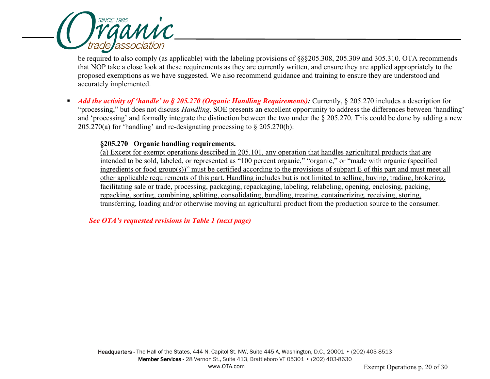

be required to also comply (as applicable) with the labeling provisions of §§§205.308, 205.309 and 305.310. OTA recommends that NOP take a close look at these requirements as they are currently written, and ensure they are applied appropriately to the proposed exemptions as we have suggested. We also recommend guidance and training to ensure they are understood and accurately implemented.

Add the activity of 'handle' to § 205.270 (Organic Handling Requirements): Currently, § 205.270 includes a description for "processing," but does not discuss *Handling*. SOE presents an excellent opportunity to address the differences between 'handling' and 'processing' and formally integrate the distinction between the two under the § 205.270. This could be done by adding a new 205.270(a) for 'handling' and re-designating processing to  $\S 205.270(b)$ :

#### **§205.270 Organic handling requirements.**

(a) Except for exempt operations described in 205.101, any operation that handles agricultural products that are intended to be sold, labeled, or represented as "100 percent organic," "organic," or "made with organic (specified ingredients or food group(s))" must be certified according to the provisions of subpart E of this part and must meet all other applicable requirements of this part. Handling includes but is not limited to selling, buying, trading, brokering, facilitating sale or trade, processing, packaging, repackaging, labeling, relabeling, opening, enclosing, packing, repacking, sorting, combining, splitting, consolidating, bundling, treating, containerizing, receiving, storing, transferring, loading and/or otherwise moving an agricultural product from the production source to the consumer.

*See OTA's requested revisions in Table 1 (next page)*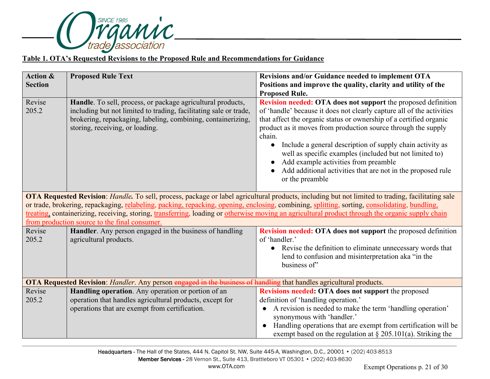

#### **Table 1. OTA's Requested Revisions to the Proposed Rule and Recommendations for Guidance**

| <b>Action &amp;</b> | <b>Proposed Rule Text</b>                                                                                                                                                                                                                                                                                                                                                                                                                                                                               | Revisions and/or Guidance needed to implement OTA                                                                                                                                                                                                                                                                                                                                                                                                                                                                                                      |  |  |
|---------------------|---------------------------------------------------------------------------------------------------------------------------------------------------------------------------------------------------------------------------------------------------------------------------------------------------------------------------------------------------------------------------------------------------------------------------------------------------------------------------------------------------------|--------------------------------------------------------------------------------------------------------------------------------------------------------------------------------------------------------------------------------------------------------------------------------------------------------------------------------------------------------------------------------------------------------------------------------------------------------------------------------------------------------------------------------------------------------|--|--|
| <b>Section</b>      |                                                                                                                                                                                                                                                                                                                                                                                                                                                                                                         | Positions and improve the quality, clarity and utility of the<br><b>Proposed Rule.</b>                                                                                                                                                                                                                                                                                                                                                                                                                                                                 |  |  |
| Revise<br>205.2     | Handle. To sell, process, or package agricultural products,<br>including but not limited to trading, facilitating sale or trade,<br>brokering, repackaging, labeling, combining, containerizing,<br>storing, receiving, or loading.                                                                                                                                                                                                                                                                     | Revision needed: OTA does not support the proposed definition<br>of 'handle' because it does not clearly capture all of the activities<br>that affect the organic status or ownership of a certified organic<br>product as it moves from production source through the supply<br>chain.<br>Include a general description of supply chain activity as<br>$\bullet$<br>well as specific examples (included but not limited to)<br>Add example activities from preamble<br>Add additional activities that are not in the proposed rule<br>or the preamble |  |  |
|                     | OTA Requested Revision: Handle. To sell, process, package or label agricultural products, including but not limited to trading, facilitating sale<br>or trade, brokering, repackaging, relabeling, packing, repacking, opening, enclosing, combining, splitting, sorting, consolidating, bundling,<br>treating, containerizing, receiving, storing, transferring, loading or otherwise moving an agricultural product through the organic supply chain<br>from production source to the final consumer. |                                                                                                                                                                                                                                                                                                                                                                                                                                                                                                                                                        |  |  |
| Revise<br>205.2     | Handler. Any person engaged in the business of handling<br>agricultural products.                                                                                                                                                                                                                                                                                                                                                                                                                       | <b>Revision needed: OTA does not support</b> the proposed definition<br>of 'handler.'<br>Revise the definition to eliminate unnecessary words that<br>$\bullet$<br>lend to confusion and misinterpretation aka "in the<br>business of"                                                                                                                                                                                                                                                                                                                 |  |  |
|                     | OTA Requested Revision: Handler. Any person engaged in the business of handling that handles agricultural products.                                                                                                                                                                                                                                                                                                                                                                                     |                                                                                                                                                                                                                                                                                                                                                                                                                                                                                                                                                        |  |  |
| Revise<br>205.2     | Handling operation. Any operation or portion of an<br>operation that handles agricultural products, except for                                                                                                                                                                                                                                                                                                                                                                                          | Revisions needed: OTA does not support the proposed<br>definition of 'handling operation.'                                                                                                                                                                                                                                                                                                                                                                                                                                                             |  |  |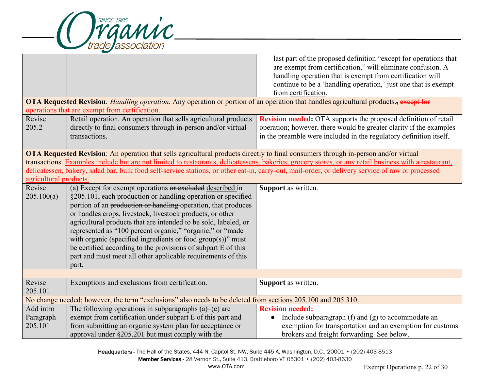

|                                                                                                                                    |                                                                                                                                                   | last part of the proposed definition "except for operations that                                                                                      |  |  |
|------------------------------------------------------------------------------------------------------------------------------------|---------------------------------------------------------------------------------------------------------------------------------------------------|-------------------------------------------------------------------------------------------------------------------------------------------------------|--|--|
|                                                                                                                                    |                                                                                                                                                   | are exempt from certification," will eliminate confusion. A                                                                                           |  |  |
|                                                                                                                                    |                                                                                                                                                   | handling operation that is exempt from certification will                                                                                             |  |  |
|                                                                                                                                    |                                                                                                                                                   | continue to be a 'handling operation,' just one that is exempt                                                                                        |  |  |
|                                                                                                                                    |                                                                                                                                                   | from certification.                                                                                                                                   |  |  |
|                                                                                                                                    | OTA Requested Revision: Handling operation. Any operation or portion of an operation that handles agricultural products., except for              |                                                                                                                                                       |  |  |
|                                                                                                                                    | operations that are exempt from certification.                                                                                                    |                                                                                                                                                       |  |  |
| Revise                                                                                                                             | Retail operation. An operation that sells agricultural products                                                                                   | <b>Revision needed:</b> OTA supports the proposed definition of retail                                                                                |  |  |
| 205.2                                                                                                                              | directly to final consumers through in-person and/or virtual                                                                                      | operation; however, there would be greater clarity if the examples                                                                                    |  |  |
|                                                                                                                                    | transactions.                                                                                                                                     | in the preamble were included in the regulatory definition itself.                                                                                    |  |  |
|                                                                                                                                    |                                                                                                                                                   |                                                                                                                                                       |  |  |
| OTA Requested Revision: An operation that sells agricultural products directly to final consumers through in-person and/or virtual |                                                                                                                                                   |                                                                                                                                                       |  |  |
|                                                                                                                                    |                                                                                                                                                   | transactions. Examples include but are not limited to restaurants, delicatessens, bakeries, grocery stores, or any retail business with a restaurant, |  |  |
|                                                                                                                                    | delicatessen, bakery, salad bar, bulk food self-service stations, or other eat-in, carry-out, mail-order, or delivery service of raw or processed |                                                                                                                                                       |  |  |
| agricultural products.                                                                                                             |                                                                                                                                                   |                                                                                                                                                       |  |  |
| Revise                                                                                                                             | (a) Except for exempt operations or excluded described in<br>Support as written.                                                                  |                                                                                                                                                       |  |  |
| 205.100(a)                                                                                                                         | §205.101, each production or handling operation or specified                                                                                      |                                                                                                                                                       |  |  |
|                                                                                                                                    | portion of an production or handling operation, that produces                                                                                     |                                                                                                                                                       |  |  |
|                                                                                                                                    | or handles erops, livestock, livestock products, or other                                                                                         |                                                                                                                                                       |  |  |
|                                                                                                                                    | agricultural products that are intended to be sold, labeled, or                                                                                   |                                                                                                                                                       |  |  |
|                                                                                                                                    | represented as "100 percent organic," "organic," or "made                                                                                         |                                                                                                                                                       |  |  |
|                                                                                                                                    | with organic (specified ingredients or food $group(s))$ " must                                                                                    |                                                                                                                                                       |  |  |
|                                                                                                                                    | be certified according to the provisions of subpart E of this                                                                                     |                                                                                                                                                       |  |  |
|                                                                                                                                    | part and must meet all other applicable requirements of this                                                                                      |                                                                                                                                                       |  |  |
|                                                                                                                                    |                                                                                                                                                   |                                                                                                                                                       |  |  |
| part.                                                                                                                              |                                                                                                                                                   |                                                                                                                                                       |  |  |
| Revise                                                                                                                             | Exemptions and exclusions from certification.                                                                                                     | Support as written.                                                                                                                                   |  |  |
| 205.101                                                                                                                            |                                                                                                                                                   |                                                                                                                                                       |  |  |
| No change needed; however, the term "exclusions" also needs to be deleted from sections 205.100 and 205.310.                       |                                                                                                                                                   |                                                                                                                                                       |  |  |
| Add intro                                                                                                                          | The following operations in subparagraphs $(a)$ – $(e)$ are                                                                                       | <b>Revision needed:</b>                                                                                                                               |  |  |
| Paragraph                                                                                                                          | exempt from certification under subpart E of this part and                                                                                        | Include subparagraph $(f)$ and $(g)$ to accommodate an<br>$\bullet$                                                                                   |  |  |
| 205.101                                                                                                                            | from submitting an organic system plan for acceptance or                                                                                          | exemption for transportation and an exemption for customs                                                                                             |  |  |
|                                                                                                                                    | approval under §205.201 but must comply with the                                                                                                  | brokers and freight forwarding. See below.                                                                                                            |  |  |
|                                                                                                                                    |                                                                                                                                                   |                                                                                                                                                       |  |  |

Headquarters - The Hall of the States, 444 N. Capitol St. NW, Suite 445-A, Washington, D.C., 20001 • (202) 403-8513 Member Services - 28 Vernon St., Suite 413, Brattleboro VT 05301 • (202) 403-8630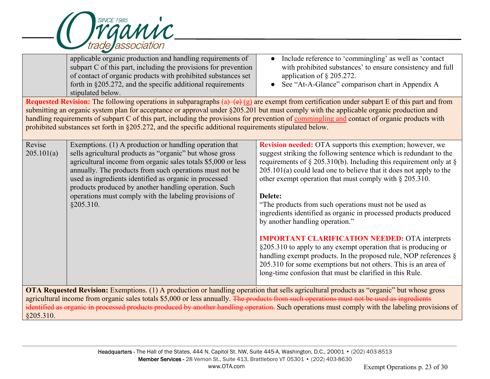

|                      | applicable organic production and handling requirements of<br>subpart C of this part, including the provisions for prevention<br>of contact of organic products with prohibited substances set<br>forth in §205.272, and the specific additional requirements<br>stipulated below.<br>submitting an organic system plan for acceptance or approval under §205.201 but must comply with the applicable organic production and              | Include reference to 'commingling' as well as 'contact<br>$\bullet$<br>with prohibited substances' to ensure consistency and full<br>application of $\S$ 205.272.<br>See "At-A-Glance" comparison chart in Appendix A<br>Requested Revision: The following operations in subparagraphs $(a)$ $\rightarrow$ $(e)$ $(g)$ are exempt from certification under subpart E of this part and from                                                                                                                                                                                                                                                                                                                                                                                                                                                                 |
|----------------------|-------------------------------------------------------------------------------------------------------------------------------------------------------------------------------------------------------------------------------------------------------------------------------------------------------------------------------------------------------------------------------------------------------------------------------------------|------------------------------------------------------------------------------------------------------------------------------------------------------------------------------------------------------------------------------------------------------------------------------------------------------------------------------------------------------------------------------------------------------------------------------------------------------------------------------------------------------------------------------------------------------------------------------------------------------------------------------------------------------------------------------------------------------------------------------------------------------------------------------------------------------------------------------------------------------------|
|                      | prohibited substances set forth in §205.272, and the specific additional requirements stipulated below.                                                                                                                                                                                                                                                                                                                                   | handling requirements of subpart C of this part, including the provisions for prevention of commingling and contact of organic products with                                                                                                                                                                                                                                                                                                                                                                                                                                                                                                                                                                                                                                                                                                               |
| Revise<br>205.101(a) | Exemptions. (1) A production or handling operation that<br>sells agricultural products as "organic" but whose gross<br>agricultural income from organic sales totals \$5,000 or less<br>annually. The products from such operations must not be<br>used as ingredients identified as organic in processed<br>products produced by another handling operation. Such<br>operations must comply with the labeling provisions of<br>§205.310. | <b>Revision needed:</b> OTA supports this exemption; however, we<br>suggest striking the following sentence which is redundant to the<br>requirements of § 205.310(b). Including this requirement only at §<br>$205.101(a)$ could lead one to believe that it does not apply to the<br>other exempt operation that must comply with § 205.310.<br>Delete:<br>"The products from such operations must not be used as<br>ingredients identified as organic in processed products produced<br>by another handling operation."<br><b>IMPORTANT CLARIFICATION NEEDED: OTA interprets</b><br>§205.310 to apply to any exempt operation that is producing or<br>handling exempt products. In the proposed rule, NOP references $\S$<br>205.310 for some exemptions but not others. This is an area of<br>long-time confusion that must be clarified in this Rule. |
| §205.310.            | agricultural income from organic sales totals \$5,000 or less annually. The products from such operations must not be used as ingredients                                                                                                                                                                                                                                                                                                 | OTA Requested Revision: Exemptions. (1) A production or handling operation that sells agricultural products as "organic" but whose gross<br>identified as organic in processed products produced by another handling operation. Such operations must comply with the labeling provisions of                                                                                                                                                                                                                                                                                                                                                                                                                                                                                                                                                                |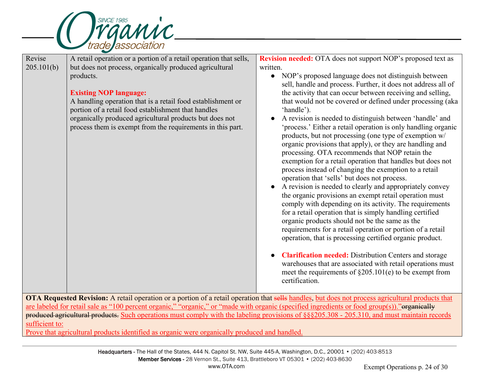

| Revise<br>205.101(b) | A retail operation or a portion of a retail operation that sells,<br>but does not process, organically produced agricultural<br>products.<br><b>Existing NOP language:</b><br>A handling operation that is a retail food establishment or<br>portion of a retail food establishment that handles<br>organically produced agricultural products but does not<br>process them is exempt from the requirements in this part. | <b>Revision needed:</b> OTA does not support NOP's proposed text as<br>written.<br>NOP's proposed language does not distinguish between<br>sell, handle and process. Further, it does not address all of<br>the activity that can occur between receiving and selling,<br>that would not be covered or defined under processing (aka<br>'handle').<br>A revision is needed to distinguish between 'handle' and<br>'process.' Either a retail operation is only handling organic<br>products, but not processing (one type of exemption w/<br>organic provisions that apply), or they are handling and<br>processing. OTA recommends that NOP retain the<br>exemption for a retail operation that handles but does not<br>process instead of changing the exemption to a retail<br>operation that 'sells' but does not process.<br>A revision is needed to clearly and appropriately convey<br>the organic provisions an exempt retail operation must<br>comply with depending on its activity. The requirements<br>for a retail operation that is simply handling certified<br>organic products should not be the same as the<br>requirements for a retail operation or portion of a retail<br>operation, that is processing certified organic product.<br><b>Clarification needed:</b> Distribution Centers and storage<br>warehouses that are associated with retail operations must |
|----------------------|---------------------------------------------------------------------------------------------------------------------------------------------------------------------------------------------------------------------------------------------------------------------------------------------------------------------------------------------------------------------------------------------------------------------------|----------------------------------------------------------------------------------------------------------------------------------------------------------------------------------------------------------------------------------------------------------------------------------------------------------------------------------------------------------------------------------------------------------------------------------------------------------------------------------------------------------------------------------------------------------------------------------------------------------------------------------------------------------------------------------------------------------------------------------------------------------------------------------------------------------------------------------------------------------------------------------------------------------------------------------------------------------------------------------------------------------------------------------------------------------------------------------------------------------------------------------------------------------------------------------------------------------------------------------------------------------------------------------------------------------------------------------------------------------------------------------------|
|                      |                                                                                                                                                                                                                                                                                                                                                                                                                           | meet the requirements of $\S205.101(e)$ to be exempt from<br>certification.                                                                                                                                                                                                                                                                                                                                                                                                                                                                                                                                                                                                                                                                                                                                                                                                                                                                                                                                                                                                                                                                                                                                                                                                                                                                                                            |
|                      |                                                                                                                                                                                                                                                                                                                                                                                                                           | OTA Requested Revision: A retail operation or a portion of a retail operation that sells handles, but does not process agricultural products that                                                                                                                                                                                                                                                                                                                                                                                                                                                                                                                                                                                                                                                                                                                                                                                                                                                                                                                                                                                                                                                                                                                                                                                                                                      |
|                      | are labeled for retail sale as "100 percent organic," "organic," or "made with organic (specified ingredients or food group(s))."organically                                                                                                                                                                                                                                                                              |                                                                                                                                                                                                                                                                                                                                                                                                                                                                                                                                                                                                                                                                                                                                                                                                                                                                                                                                                                                                                                                                                                                                                                                                                                                                                                                                                                                        |
|                      |                                                                                                                                                                                                                                                                                                                                                                                                                           | produced agricultural products. Such operations must comply with the labeling provisions of §§§205.308 - 205.310, and must maintain records                                                                                                                                                                                                                                                                                                                                                                                                                                                                                                                                                                                                                                                                                                                                                                                                                                                                                                                                                                                                                                                                                                                                                                                                                                            |

sufficient to: Prove that agricultural products identified as organic were organically produced and handled.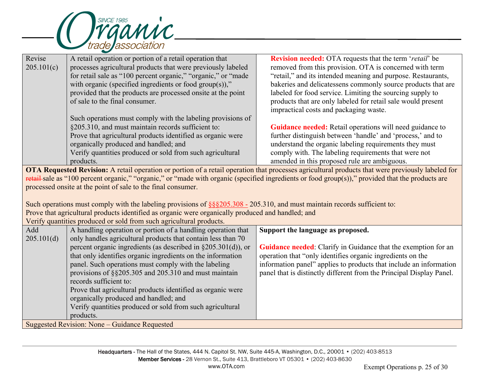

| Revise<br>205.101(c) | A retail operation or portion of a retail operation that<br>processes agricultural products that were previously labeled<br>for retail sale as "100 percent organic," "organic," or "made<br>with organic (specified ingredients or food group(s)),"<br>provided that the products are processed onsite at the point<br>of sale to the final consumer.<br>Such operations must comply with the labeling provisions of<br>§205.310, and must maintain records sufficient to:<br>Prove that agricultural products identified as organic were<br>organically produced and handled; and<br>Verify quantities produced or sold from such agricultural<br>products. | Revision needed: OTA requests that the term 'retail' be<br>removed from this provision. OTA is concerned with term<br>"retail," and its intended meaning and purpose. Restaurants,<br>bakeries and delicatessens commonly source products that are<br>labeled for food service. Limiting the sourcing supply to<br>products that are only labeled for retail sale would present<br>impractical costs and packaging waste.<br>Guidance needed: Retail operations will need guidance to<br>further distinguish between 'handle' and 'process,' and to<br>understand the organic labeling requirements they must<br>comply with. The labeling requirements that were not<br>amended in this proposed rule are ambiguous. |  |  |
|----------------------|---------------------------------------------------------------------------------------------------------------------------------------------------------------------------------------------------------------------------------------------------------------------------------------------------------------------------------------------------------------------------------------------------------------------------------------------------------------------------------------------------------------------------------------------------------------------------------------------------------------------------------------------------------------|-----------------------------------------------------------------------------------------------------------------------------------------------------------------------------------------------------------------------------------------------------------------------------------------------------------------------------------------------------------------------------------------------------------------------------------------------------------------------------------------------------------------------------------------------------------------------------------------------------------------------------------------------------------------------------------------------------------------------|--|--|
|                      |                                                                                                                                                                                                                                                                                                                                                                                                                                                                                                                                                                                                                                                               | OTA Requested Revision: A retail operation or portion of a retail operation that processes agricultural products that were previously labeled for                                                                                                                                                                                                                                                                                                                                                                                                                                                                                                                                                                     |  |  |
|                      |                                                                                                                                                                                                                                                                                                                                                                                                                                                                                                                                                                                                                                                               | retail-sale as "100 percent organic," "organic," or "made with organic (specified ingredients or food group(s))," provided that the products are                                                                                                                                                                                                                                                                                                                                                                                                                                                                                                                                                                      |  |  |
|                      | processed onsite at the point of sale to the final consumer.                                                                                                                                                                                                                                                                                                                                                                                                                                                                                                                                                                                                  |                                                                                                                                                                                                                                                                                                                                                                                                                                                                                                                                                                                                                                                                                                                       |  |  |
|                      |                                                                                                                                                                                                                                                                                                                                                                                                                                                                                                                                                                                                                                                               |                                                                                                                                                                                                                                                                                                                                                                                                                                                                                                                                                                                                                                                                                                                       |  |  |
|                      | Such operations must comply with the labeling provisions of $\S$ §§205.308 - 205.310, and must maintain records sufficient to:                                                                                                                                                                                                                                                                                                                                                                                                                                                                                                                                |                                                                                                                                                                                                                                                                                                                                                                                                                                                                                                                                                                                                                                                                                                                       |  |  |
|                      | Prove that agricultural products identified as organic were organically produced and handled; and                                                                                                                                                                                                                                                                                                                                                                                                                                                                                                                                                             |                                                                                                                                                                                                                                                                                                                                                                                                                                                                                                                                                                                                                                                                                                                       |  |  |
|                      | Verify quantities produced or sold from such agricultural products.                                                                                                                                                                                                                                                                                                                                                                                                                                                                                                                                                                                           |                                                                                                                                                                                                                                                                                                                                                                                                                                                                                                                                                                                                                                                                                                                       |  |  |
| Add                  | A handling operation or portion of a handling operation that                                                                                                                                                                                                                                                                                                                                                                                                                                                                                                                                                                                                  | Support the language as proposed.                                                                                                                                                                                                                                                                                                                                                                                                                                                                                                                                                                                                                                                                                     |  |  |
| 205.101(d)           | only handles agricultural products that contain less than 70                                                                                                                                                                                                                                                                                                                                                                                                                                                                                                                                                                                                  |                                                                                                                                                                                                                                                                                                                                                                                                                                                                                                                                                                                                                                                                                                                       |  |  |
|                      | percent organic ingredients (as described in $\S 205.301(d)$ ), or                                                                                                                                                                                                                                                                                                                                                                                                                                                                                                                                                                                            | <b>Guidance needed:</b> Clarify in Guidance that the exemption for an                                                                                                                                                                                                                                                                                                                                                                                                                                                                                                                                                                                                                                                 |  |  |
|                      | that only identifies organic ingredients on the information                                                                                                                                                                                                                                                                                                                                                                                                                                                                                                                                                                                                   | operation that "only identifies organic ingredients on the                                                                                                                                                                                                                                                                                                                                                                                                                                                                                                                                                                                                                                                            |  |  |
|                      | panel. Such operations must comply with the labeling                                                                                                                                                                                                                                                                                                                                                                                                                                                                                                                                                                                                          | information panel" applies to products that include an information                                                                                                                                                                                                                                                                                                                                                                                                                                                                                                                                                                                                                                                    |  |  |
|                      | provisions of §§205.305 and 205.310 and must maintain                                                                                                                                                                                                                                                                                                                                                                                                                                                                                                                                                                                                         | panel that is distinctly different from the Principal Display Panel.                                                                                                                                                                                                                                                                                                                                                                                                                                                                                                                                                                                                                                                  |  |  |
|                      | records sufficient to:                                                                                                                                                                                                                                                                                                                                                                                                                                                                                                                                                                                                                                        |                                                                                                                                                                                                                                                                                                                                                                                                                                                                                                                                                                                                                                                                                                                       |  |  |
|                      | Prove that agricultural products identified as organic were                                                                                                                                                                                                                                                                                                                                                                                                                                                                                                                                                                                                   |                                                                                                                                                                                                                                                                                                                                                                                                                                                                                                                                                                                                                                                                                                                       |  |  |
|                      | organically produced and handled; and                                                                                                                                                                                                                                                                                                                                                                                                                                                                                                                                                                                                                         |                                                                                                                                                                                                                                                                                                                                                                                                                                                                                                                                                                                                                                                                                                                       |  |  |
|                      | Verify quantities produced or sold from such agricultural                                                                                                                                                                                                                                                                                                                                                                                                                                                                                                                                                                                                     |                                                                                                                                                                                                                                                                                                                                                                                                                                                                                                                                                                                                                                                                                                                       |  |  |
|                      | products.                                                                                                                                                                                                                                                                                                                                                                                                                                                                                                                                                                                                                                                     |                                                                                                                                                                                                                                                                                                                                                                                                                                                                                                                                                                                                                                                                                                                       |  |  |
|                      | Suggested Revision: None - Guidance Requested                                                                                                                                                                                                                                                                                                                                                                                                                                                                                                                                                                                                                 |                                                                                                                                                                                                                                                                                                                                                                                                                                                                                                                                                                                                                                                                                                                       |  |  |
|                      |                                                                                                                                                                                                                                                                                                                                                                                                                                                                                                                                                                                                                                                               |                                                                                                                                                                                                                                                                                                                                                                                                                                                                                                                                                                                                                                                                                                                       |  |  |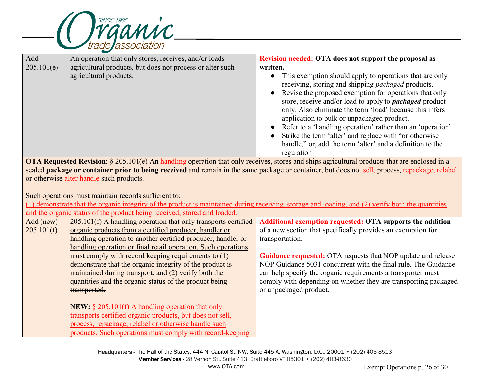

| Add        | An operation that only stores, receives, and/or loads                                                                                           | Revision needed: OTA does not support the proposal as                                                                                                                                                                                                                                                                                                                                                                                                                                                                                                                            |  |  |  |
|------------|-------------------------------------------------------------------------------------------------------------------------------------------------|----------------------------------------------------------------------------------------------------------------------------------------------------------------------------------------------------------------------------------------------------------------------------------------------------------------------------------------------------------------------------------------------------------------------------------------------------------------------------------------------------------------------------------------------------------------------------------|--|--|--|
| 205.101(e) | agricultural products, but does not process or alter such                                                                                       | written.                                                                                                                                                                                                                                                                                                                                                                                                                                                                                                                                                                         |  |  |  |
|            | agricultural products.                                                                                                                          | This exemption should apply to operations that are only<br>$\bullet$<br>receiving, storing and shipping packaged products.<br>Revise the proposed exemption for operations that only<br>$\bullet$<br>store, receive and/or load to apply to <i>packaged</i> product<br>only. Also eliminate the term 'load' because this infers<br>application to bulk or unpackaged product.<br>Refer to a 'handling operation' rather than an 'operation'<br>Strike the term 'alter' and replace with "or otherwise<br>handle," or, add the term 'alter' and a definition to the<br>regulation |  |  |  |
|            |                                                                                                                                                 | OTA Requested Revision: § 205.101(e) An handling operation that only receives, stores and ships agricultural products that are enclosed in a                                                                                                                                                                                                                                                                                                                                                                                                                                     |  |  |  |
|            | sealed package or container prior to being received and remain in the same package or container, but does not sell, process, repackage, relabel |                                                                                                                                                                                                                                                                                                                                                                                                                                                                                                                                                                                  |  |  |  |
|            | or otherwise alter-handle such products.                                                                                                        |                                                                                                                                                                                                                                                                                                                                                                                                                                                                                                                                                                                  |  |  |  |
|            |                                                                                                                                                 |                                                                                                                                                                                                                                                                                                                                                                                                                                                                                                                                                                                  |  |  |  |
|            | Such operations must maintain records sufficient to:                                                                                            |                                                                                                                                                                                                                                                                                                                                                                                                                                                                                                                                                                                  |  |  |  |
|            |                                                                                                                                                 | (1) demonstrate that the organic integrity of the product is maintained during receiving, storage and loading, and (2) verify both the quantities                                                                                                                                                                                                                                                                                                                                                                                                                                |  |  |  |
|            |                                                                                                                                                 |                                                                                                                                                                                                                                                                                                                                                                                                                                                                                                                                                                                  |  |  |  |
|            | and the organic status of the product being received, stored and loaded.                                                                        |                                                                                                                                                                                                                                                                                                                                                                                                                                                                                                                                                                                  |  |  |  |
| Add (new)  | 205.101(f) A handling operation that only transports certified                                                                                  | <b>Additional exemption requested: OTA supports the addition</b>                                                                                                                                                                                                                                                                                                                                                                                                                                                                                                                 |  |  |  |
| 205.101(f) | organic products from a certified producer, handler or                                                                                          | of a new section that specifically provides an exemption for                                                                                                                                                                                                                                                                                                                                                                                                                                                                                                                     |  |  |  |
|            | handling operation to another certified producer, handler or                                                                                    | transportation.                                                                                                                                                                                                                                                                                                                                                                                                                                                                                                                                                                  |  |  |  |
|            | handling operation or final retail operation. Such operations                                                                                   |                                                                                                                                                                                                                                                                                                                                                                                                                                                                                                                                                                                  |  |  |  |
|            | must comply with record keeping requirements to $(1)$                                                                                           | <b>Guidance requested:</b> OTA requests that NOP update and release                                                                                                                                                                                                                                                                                                                                                                                                                                                                                                              |  |  |  |
|            | demonstrate that the organic integrity of the product is                                                                                        | NOP Guidance 5031 concurrent with the final rule. The Guidance                                                                                                                                                                                                                                                                                                                                                                                                                                                                                                                   |  |  |  |
|            | maintained during transport, and (2) verify both the                                                                                            | can help specify the organic requirements a transporter must                                                                                                                                                                                                                                                                                                                                                                                                                                                                                                                     |  |  |  |
|            | quantities and the organic status of the product being                                                                                          | comply with depending on whether they are transporting packaged                                                                                                                                                                                                                                                                                                                                                                                                                                                                                                                  |  |  |  |
|            | transported.                                                                                                                                    | or unpackaged product.                                                                                                                                                                                                                                                                                                                                                                                                                                                                                                                                                           |  |  |  |
|            |                                                                                                                                                 |                                                                                                                                                                                                                                                                                                                                                                                                                                                                                                                                                                                  |  |  |  |
|            | <b>NEW:</b> $\S 205.101(f)$ A handling operation that only                                                                                      |                                                                                                                                                                                                                                                                                                                                                                                                                                                                                                                                                                                  |  |  |  |
|            | transports certified organic products, but does not sell,                                                                                       |                                                                                                                                                                                                                                                                                                                                                                                                                                                                                                                                                                                  |  |  |  |
|            | process, repackage, relabel or otherwise handle such<br>products. Such operations must comply with record-keeping                               |                                                                                                                                                                                                                                                                                                                                                                                                                                                                                                                                                                                  |  |  |  |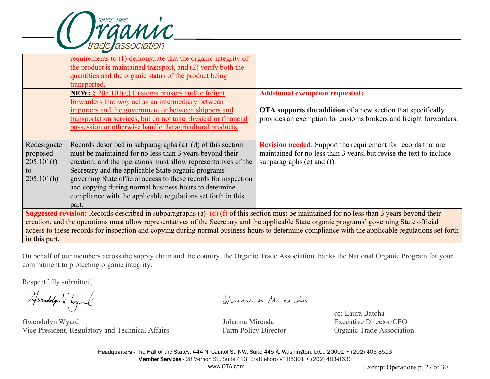

|                                                                                                                                                    | requirements to (1) demonstrate that the organic integrity of    |                                                                      |  |  |
|----------------------------------------------------------------------------------------------------------------------------------------------------|------------------------------------------------------------------|----------------------------------------------------------------------|--|--|
|                                                                                                                                                    | the product is maintained transport, and (2) verify both the     |                                                                      |  |  |
|                                                                                                                                                    | quantities and the organic status of the product being           |                                                                      |  |  |
|                                                                                                                                                    | transported.                                                     |                                                                      |  |  |
|                                                                                                                                                    | <b>NEW:</b> $\S 205.101(g)$ Customs brokers and/or freight       | <b>Additional exemption requested:</b>                               |  |  |
|                                                                                                                                                    | forwarders that <i>only</i> act as an intermediary between       |                                                                      |  |  |
|                                                                                                                                                    | importers and the government or between shippers and             | <b>OTA</b> supports the addition of a new section that specifically  |  |  |
|                                                                                                                                                    | transportation services, but do not take physical or financial   | provides an exemption for customs brokers and freight forwarders.    |  |  |
|                                                                                                                                                    | possession or otherwise handle the agricultural products.        |                                                                      |  |  |
|                                                                                                                                                    |                                                                  |                                                                      |  |  |
| Redesignate                                                                                                                                        | Records described in subparagraphs $(a)$ – $(d)$ of this section | <b>Revision needed:</b> Support the requirement for records that are |  |  |
| proposed                                                                                                                                           | must be maintained for no less than 3 years beyond their         | maintained for no less than 3 years, but revise the text to include  |  |  |
| 205.101(f)                                                                                                                                         | creation, and the operations must allow representatives of the   | subparagraphs $(e)$ and $(f)$ .                                      |  |  |
| to                                                                                                                                                 | Secretary and the applicable State organic programs'             |                                                                      |  |  |
| 205.101(h)                                                                                                                                         | governing State official access to these records for inspection  |                                                                      |  |  |
|                                                                                                                                                    | and copying during normal business hours to determine            |                                                                      |  |  |
|                                                                                                                                                    | compliance with the applicable regulations set forth in this     |                                                                      |  |  |
|                                                                                                                                                    | part.                                                            |                                                                      |  |  |
| <b>Suggested revision:</b> Records described in subparagraphs (a)—(d) (f) of this section must be maintained for no less than 3 years beyond their |                                                                  |                                                                      |  |  |
| creation, and the operations must allow representatives of the Secretary and the applicable State organic programs' governing State official       |                                                                  |                                                                      |  |  |
| access to these records for inspection and copying during normal business hours to determine compliance with the applicable regulations set forth  |                                                                  |                                                                      |  |  |
| in this part.                                                                                                                                      |                                                                  |                                                                      |  |  |
|                                                                                                                                                    |                                                                  |                                                                      |  |  |

On behalf of our members across the supply chain and the country, the Organic Trade Association thanks the National Organic Program for your commitment to protecting organic integrity.

Respectfully submitted,

Hwendolyn V. Wyand

Gwendolyn Wyard Johanna Mirenda Executive Director/CEO Vice President, Regulatory and Technical Affairs Farm Policy Director Organic Trade Association

Ihanna Muenda

cc: Laura Batcha<br>Iohanna Mirenda<br>Executive Directo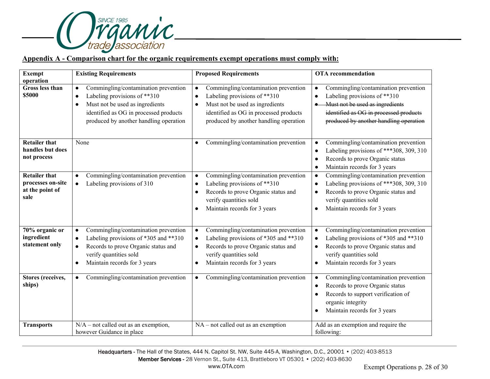

## **Appendix A - Comparison chart for the organic requirements exempt operations must comply with:**

| <b>Exempt</b>                                                        | <b>Existing Requirements</b>                                                                                                                                                                                                       | <b>Proposed Requirements</b>                                                                                                                                                                                                       | <b>OTA</b> recommendation                                                                                                                                                                                                |
|----------------------------------------------------------------------|------------------------------------------------------------------------------------------------------------------------------------------------------------------------------------------------------------------------------------|------------------------------------------------------------------------------------------------------------------------------------------------------------------------------------------------------------------------------------|--------------------------------------------------------------------------------------------------------------------------------------------------------------------------------------------------------------------------|
| operation<br>Gross less than<br>\$5000                               | Commingling/contamination prevention<br>$\bullet$<br>Labeling provisions of **310<br>$\bullet$<br>Must not be used as ingredients<br>$\bullet$<br>identified as OG in processed products<br>produced by another handling operation | Commingling/contamination prevention<br>$\bullet$<br>Labeling provisions of **310<br>$\bullet$<br>Must not be used as ingredients<br>$\bullet$<br>identified as OG in processed products<br>produced by another handling operation | Commingling/contamination prevention<br>$\bullet$<br>Labeling provisions of ** 310<br>$\bullet$<br>Must not be used as ingredients<br>identified as OG in processed products<br>produced by another handling operation   |
| <b>Retailer that</b><br>handles but does<br>not process              | None                                                                                                                                                                                                                               | Commingling/contamination prevention<br>$\bullet$                                                                                                                                                                                  | Commingling/contamination prevention<br>Labeling provisions of *** 308, 309, 310<br>Records to prove Organic status<br>$\bullet$<br>Maintain records for 3 years<br>$\bullet$                                            |
| <b>Retailer that</b><br>processes on-site<br>at the point of<br>sale | Commingling/contamination prevention<br>$\bullet$<br>Labeling provisions of 310<br>$\bullet$                                                                                                                                       | Commingling/contamination prevention<br>$\bullet$<br>Labeling provisions of **310<br>$\bullet$<br>Records to prove Organic status and<br>$\bullet$<br>verify quantities sold<br>Maintain records for 3 years                       | Commingling/contamination prevention<br>$\bullet$<br>Labeling provisions of *** 308, 309, 310<br>$\bullet$<br>Records to prove Organic status and<br>$\bullet$<br>verify quantities sold<br>Maintain records for 3 years |
| 70% organic or<br>ingredient<br>statement only                       | Commingling/contamination prevention<br>$\bullet$<br>Labeling provisions of *305 and **310<br>$\bullet$<br>Records to prove Organic status and<br>$\bullet$<br>verify quantities sold<br>Maintain records for 3 years<br>$\bullet$ | Commingling/contamination prevention<br>$\bullet$<br>Labeling provisions of *305 and **310<br>$\bullet$<br>Records to prove Organic status and<br>$\bullet$<br>verify quantities sold<br>Maintain records for 3 years              | Commingling/contamination prevention<br>Labeling provisions of *305 and **310<br>$\bullet$<br>Records to prove Organic status and<br>$\bullet$<br>verify quantities sold<br>Maintain records for 3 years<br>$\bullet$    |
| <b>Stores</b> (receives,<br>ships)                                   | Commingling/contamination prevention<br>$\bullet$                                                                                                                                                                                  | Commingling/contamination prevention<br>$\bullet$                                                                                                                                                                                  | Commingling/contamination prevention<br>Records to prove Organic status<br>$\bullet$<br>Records to support verification of<br>organic integrity<br>Maintain records for 3 years                                          |
| <b>Transports</b>                                                    | $\overline{N/A}$ – not called out as an exemption,<br>however Guidance in place                                                                                                                                                    | NA - not called out as an exemption                                                                                                                                                                                                | Add as an exemption and require the<br>following:                                                                                                                                                                        |

Headquarters - The Hall of the States, 444 N. Capitol St. NW, Suite 445-A, Washington, D.C., 20001 • (202) 403-8513 Member Services - 28 Vernon St., Suite 413, Brattleboro VT 05301 • (202) 403-8630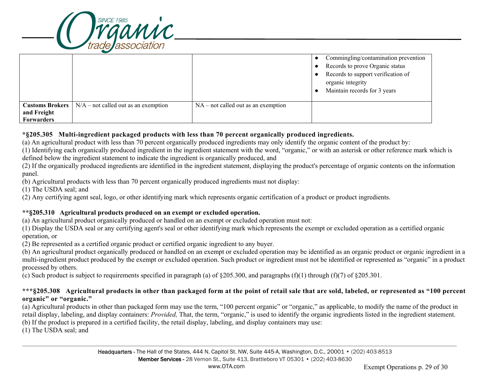

|                                                              |                                        |                                       | Commingling/contamination prevention<br>Records to prove Organic status<br>Records to support verification of<br>organic integrity<br>Maintain records for 3 years |
|--------------------------------------------------------------|----------------------------------------|---------------------------------------|--------------------------------------------------------------------------------------------------------------------------------------------------------------------|
| <b>Customs Brokers</b> 1<br>and Freight<br><b>Forwarders</b> | $N/A$ – not called out as an exemption | $NA$ – not called out as an exemption |                                                                                                                                                                    |

#### **\*§205.305 Multi-ingredient packaged products with less than 70 percent organically produced ingredients.**

(a) An agricultural product with less than 70 percent organically produced ingredients may only identify the organic content of the product by:

(1) Identifying each organically produced ingredient in the ingredient statement with the word, "organic," or with an asterisk or other reference mark which is defined below the ingredient statement to indicate the ingredient is organically produced, and

(2) If the organically produced ingredients are identified in the ingredient statement, displaying the product's percentage of organic contents on the information panel.

(b) Agricultural products with less than 70 percent organically produced ingredients must not display:

(1) The USDA seal; and

(2) Any certifying agent seal, logo, or other identifying mark which represents organic certification of a product or product ingredients.

#### **\*\*§205.310 Agricultural products produced on an exempt or excluded operation.**

(a) An agricultural product organically produced or handled on an exempt or excluded operation must not:

(1) Display the USDA seal or any certifying agent's seal or other identifying mark which represents the exempt or excluded operation as a certified organic operation, or

(2) Be represented as a certified organic product or certified organic ingredient to any buyer.

(b) An agricultural product organically produced or handled on an exempt or excluded operation may be identified as an organic product or organic ingredient in a multi-ingredient product produced by the exempt or excluded operation. Such product or ingredient must not be identified or represented as "organic" in a product processed by others.

(c) Such product is subject to requirements specified in paragraph (a) of  $\S205.300$ , and paragraphs (f)(1) through (f)(7) of  $\S205.301$ .

#### **\*\*\*§205.308 Agricultural products in other than packaged form at the point of retail sale that are sold, labeled, or represented as "100 percent organic" or "organic."**

(a) Agricultural products in other than packaged form may use the term, "100 percent organic" or "organic," as applicable, to modify the name of the product in retail display, labeling, and display containers: *Provided,* That, the term, "organic," is used to identify the organic ingredients listed in the ingredient statement. (b) If the product is prepared in a certified facility, the retail display, labeling, and display containers may use:

(1) The USDA seal; and